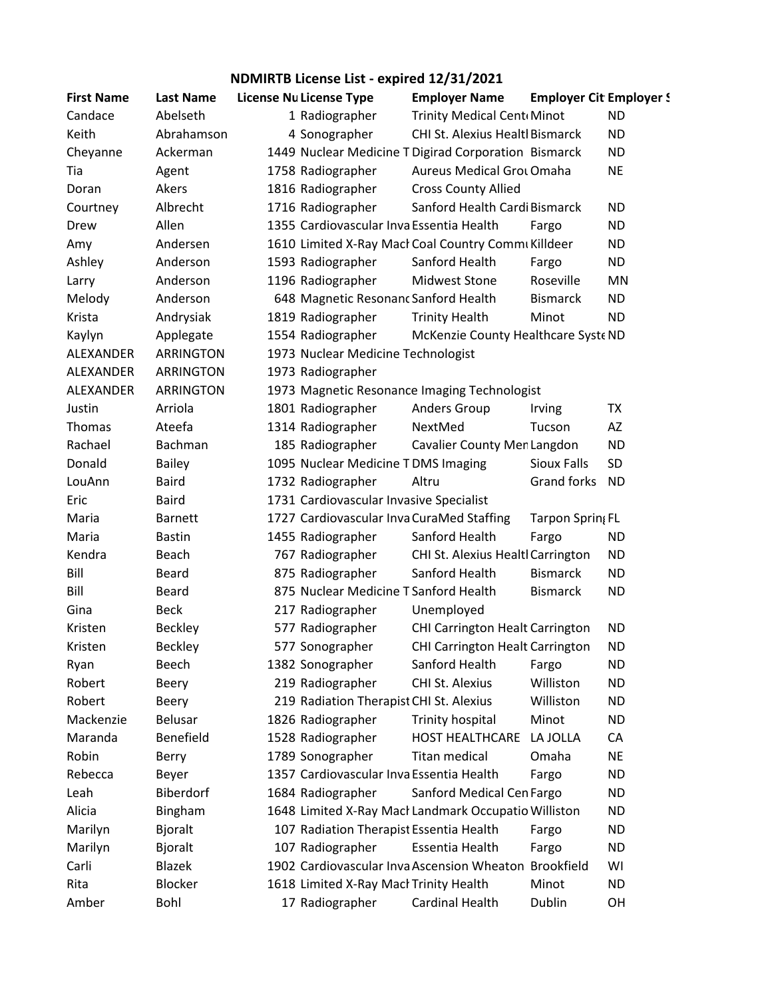## **NDMIRTB License List - expired 12/31/2021**

| <b>First Name</b> | <b>Last Name</b> | <b>License Nu License Type</b>            | <b>Employer Name</b>                                  | <b>Employer Cit Employer!</b> |           |
|-------------------|------------------|-------------------------------------------|-------------------------------------------------------|-------------------------------|-----------|
| Candace           | Abelseth         | 1 Radiographer                            | Trinity Medical Cent Minot                            |                               | <b>ND</b> |
| Keith             | Abrahamson       | 4 Sonographer                             | <b>CHI St. Alexius Healtl Bismarck</b>                |                               | <b>ND</b> |
| Cheyanne          | Ackerman         |                                           | 1449 Nuclear Medicine T Digirad Corporation Bismarck  |                               | ND.       |
| Tia               | Agent            | 1758 Radiographer                         | <b>Aureus Medical Grou Omaha</b>                      |                               | <b>NE</b> |
| Doran             | Akers            | 1816 Radiographer                         | <b>Cross County Allied</b>                            |                               |           |
| Courtney          | Albrecht         | 1716 Radiographer                         | Sanford Health Cardi Bismarck                         |                               | <b>ND</b> |
| Drew              | Allen            | 1355 Cardiovascular Inva Essentia Health  |                                                       | Fargo                         | <b>ND</b> |
| Amy               | Andersen         |                                           | 1610 Limited X-Ray Macł Coal Country Commi Killdeer   |                               | <b>ND</b> |
| Ashley            | Anderson         | 1593 Radiographer                         | Sanford Health                                        | Fargo                         | <b>ND</b> |
| Larry             | Anderson         | 1196 Radiographer                         | <b>Midwest Stone</b>                                  | Roseville                     | MN        |
| Melody            | Anderson         | 648 Magnetic Resonanc Sanford Health      |                                                       | <b>Bismarck</b>               | <b>ND</b> |
| Krista            | Andrysiak        | 1819 Radiographer                         | <b>Trinity Health</b>                                 | Minot                         | <b>ND</b> |
| Kaylyn            | Applegate        | 1554 Radiographer                         | McKenzie County Healthcare Syste ND                   |                               |           |
| ALEXANDER         | <b>ARRINGTON</b> | 1973 Nuclear Medicine Technologist        |                                                       |                               |           |
| ALEXANDER         | <b>ARRINGTON</b> | 1973 Radiographer                         |                                                       |                               |           |
| ALEXANDER         | ARRINGTON        |                                           | 1973 Magnetic Resonance Imaging Technologist          |                               |           |
| Justin            | Arriola          | 1801 Radiographer                         | Anders Group                                          | Irving                        | TX        |
| Thomas            | Ateefa           | 1314 Radiographer                         | NextMed                                               | Tucson                        | AZ        |
| Rachael           | Bachman          | 185 Radiographer                          | Cavalier County Men Langdon                           |                               | <b>ND</b> |
| Donald            | <b>Bailey</b>    | 1095 Nuclear Medicine TDMS Imaging        |                                                       | Sioux Falls                   | <b>SD</b> |
| LouAnn            | <b>Baird</b>     | 1732 Radiographer                         | Altru                                                 | Grand forks                   | <b>ND</b> |
| Eric              | <b>Baird</b>     | 1731 Cardiovascular Invasive Specialist   |                                                       |                               |           |
| Maria             | <b>Barnett</b>   | 1727 Cardiovascular Inva CuraMed Staffing |                                                       | Tarpon Spring FL              |           |
| Maria             | <b>Bastin</b>    | 1455 Radiographer                         | Sanford Health                                        | Fargo                         | <b>ND</b> |
| Kendra            | Beach            | 767 Radiographer                          | CHI St. Alexius Healtl Carrington                     |                               | <b>ND</b> |
| Bill              | Beard            | 875 Radiographer                          | Sanford Health                                        | <b>Bismarck</b>               | ND.       |
| Bill              | Beard            | 875 Nuclear Medicine T Sanford Health     |                                                       | <b>Bismarck</b>               | <b>ND</b> |
| Gina              | <b>Beck</b>      | 217 Radiographer                          | Unemployed                                            |                               |           |
| Kristen           | <b>Beckley</b>   | 577 Radiographer                          | <b>CHI Carrington Healt Carrington</b>                |                               | <b>ND</b> |
| Kristen           | <b>Beckley</b>   | 577 Sonographer                           | CHI Carrington Healt Carrington                       |                               | <b>ND</b> |
| Ryan              | Beech            | 1382 Sonographer                          | Sanford Health                                        | Fargo                         | ND        |
| Robert            | <b>Beery</b>     | 219 Radiographer                          | CHI St. Alexius                                       | Williston                     | <b>ND</b> |
| Robert            | <b>Beery</b>     | 219 Radiation Therapist CHI St. Alexius   |                                                       | Williston                     | <b>ND</b> |
| Mackenzie         | Belusar          | 1826 Radiographer                         | <b>Trinity hospital</b>                               | Minot                         | <b>ND</b> |
| Maranda           | Benefield        | 1528 Radiographer                         | <b>HOST HEALTHCARE</b>                                | LA JOLLA                      | CA        |
| Robin             | Berry            | 1789 Sonographer                          | <b>Titan medical</b>                                  | Omaha                         | <b>NE</b> |
| Rebecca           | Beyer            | 1357 Cardiovascular Inva Essentia Health  |                                                       | Fargo                         | <b>ND</b> |
| Leah              | Biberdorf        | 1684 Radiographer                         | Sanford Medical Cen Fargo                             |                               | ND.       |
| Alicia            | Bingham          |                                           | 1648 Limited X-Ray Macł Landmark Occupatio Williston  |                               | <b>ND</b> |
| Marilyn           | Bjoralt          | 107 Radiation Therapist Essentia Health   |                                                       | Fargo                         | <b>ND</b> |
| Marilyn           | <b>Bjoralt</b>   | 107 Radiographer                          | Essentia Health                                       | Fargo                         | <b>ND</b> |
| Carli             | <b>Blazek</b>    |                                           | 1902 Cardiovascular Inva Ascension Wheaton Brookfield |                               | WI        |
| Rita              | <b>Blocker</b>   | 1618 Limited X-Ray Macł Trinity Health    |                                                       | Minot                         | <b>ND</b> |
| Amber             | Bohl             | 17 Radiographer                           | Cardinal Health                                       | Dublin                        | OH        |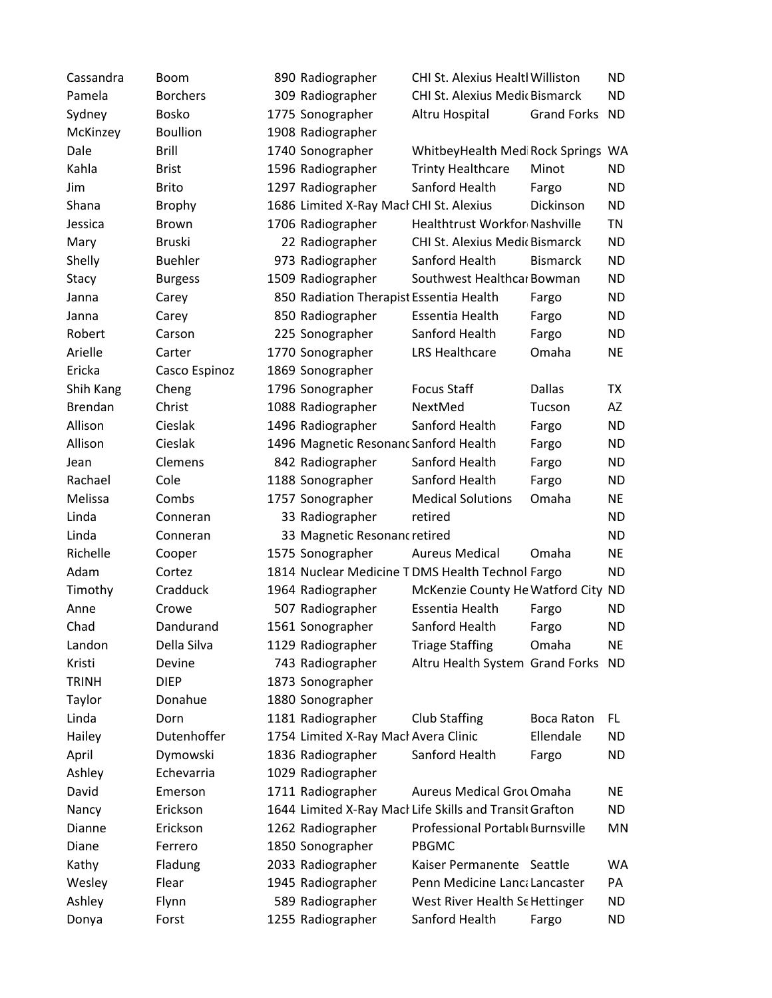| Cassandra      | Boom            | 890 Radiographer                        | <b>CHI St. Alexius Healtl Williston</b>                 |                    | <b>ND</b> |
|----------------|-----------------|-----------------------------------------|---------------------------------------------------------|--------------------|-----------|
| Pamela         | <b>Borchers</b> | 309 Radiographer                        | CHI St. Alexius Medic Bismarck                          |                    | <b>ND</b> |
| Sydney         | <b>Bosko</b>    | 1775 Sonographer                        | Altru Hospital                                          | <b>Grand Forks</b> | <b>ND</b> |
| McKinzey       | <b>Boullion</b> | 1908 Radiographer                       |                                                         |                    |           |
| Dale           | <b>Brill</b>    | 1740 Sonographer                        | WhitbeyHealth Med Rock Springs WA                       |                    |           |
| Kahla          | <b>Brist</b>    | 1596 Radiographer                       | <b>Trinty Healthcare</b>                                | Minot              | <b>ND</b> |
| Jim            | <b>Brito</b>    | 1297 Radiographer                       | Sanford Health                                          | Fargo              | <b>ND</b> |
| Shana          | <b>Brophy</b>   | 1686 Limited X-Ray Macl CHI St. Alexius |                                                         | Dickinson          | <b>ND</b> |
| Jessica        | <b>Brown</b>    | 1706 Radiographer                       | <b>Healthtrust Workfor Nashville</b>                    |                    | <b>TN</b> |
| Mary           | <b>Bruski</b>   | 22 Radiographer                         | CHI St. Alexius Medic Bismarck                          |                    | <b>ND</b> |
| Shelly         | <b>Buehler</b>  | 973 Radiographer                        | Sanford Health                                          | <b>Bismarck</b>    | <b>ND</b> |
| Stacy          | <b>Burgess</b>  | 1509 Radiographer                       | Southwest Healthcar Bowman                              |                    | <b>ND</b> |
| Janna          | Carey           | 850 Radiation Therapist Essentia Health |                                                         | Fargo              | <b>ND</b> |
| Janna          | Carey           | 850 Radiographer                        | Essentia Health                                         | Fargo              | <b>ND</b> |
| Robert         | Carson          | 225 Sonographer                         | Sanford Health                                          | Fargo              | <b>ND</b> |
| Arielle        | Carter          | 1770 Sonographer                        | <b>LRS Healthcare</b>                                   | Omaha              | <b>NE</b> |
| Ericka         | Casco Espinoz   | 1869 Sonographer                        |                                                         |                    |           |
| Shih Kang      | Cheng           | 1796 Sonographer                        | <b>Focus Staff</b>                                      | <b>Dallas</b>      | <b>TX</b> |
| <b>Brendan</b> | Christ          | 1088 Radiographer                       | NextMed                                                 | Tucson             | AZ        |
| Allison        | Cieslak         | 1496 Radiographer                       | Sanford Health                                          | Fargo              | <b>ND</b> |
| Allison        | Cieslak         | 1496 Magnetic Resonanc Sanford Health   |                                                         | Fargo              | <b>ND</b> |
| Jean           | Clemens         | 842 Radiographer                        | Sanford Health                                          | Fargo              | <b>ND</b> |
| Rachael        | Cole            | 1188 Sonographer                        | Sanford Health                                          | Fargo              | <b>ND</b> |
| Melissa        | Combs           | 1757 Sonographer                        | <b>Medical Solutions</b>                                | Omaha              | <b>NE</b> |
| Linda          | Conneran        | 33 Radiographer                         | retired                                                 |                    | <b>ND</b> |
| Linda          | Conneran        | 33 Magnetic Resonanc retired            |                                                         |                    | <b>ND</b> |
| Richelle       | Cooper          | 1575 Sonographer                        | <b>Aureus Medical</b>                                   | Omaha              | <b>NE</b> |
| Adam           | Cortez          |                                         | 1814 Nuclear Medicine T DMS Health Technol Fargo        |                    | <b>ND</b> |
| Timothy        | Cradduck        | 1964 Radiographer                       | McKenzie County He Watford City                         |                    | <b>ND</b> |
| Anne           | Crowe           | 507 Radiographer                        | Essentia Health                                         | Fargo              | <b>ND</b> |
| Chad           | Dandurand       | 1561 Sonographer                        | Sanford Health                                          | Fargo              | <b>ND</b> |
| Landon         | Della Silva     | 1129 Radiographer                       | <b>Triage Staffing</b>                                  | Omaha              | <b>NE</b> |
| Kristi         | Devine          | 743 Radiographer                        | Altru Health System Grand Forks                         |                    | <b>ND</b> |
| <b>TRINH</b>   | <b>DIEP</b>     | 1873 Sonographer                        |                                                         |                    |           |
| Taylor         | Donahue         | 1880 Sonographer                        |                                                         |                    |           |
| Linda          | Dorn            | 1181 Radiographer                       | <b>Club Staffing</b>                                    | <b>Boca Raton</b>  | FL.       |
| Hailey         | Dutenhoffer     | 1754 Limited X-Ray Macł Avera Clinic    |                                                         | Ellendale          | <b>ND</b> |
| April          | Dymowski        | 1836 Radiographer                       | Sanford Health                                          | Fargo              | <b>ND</b> |
| Ashley         | Echevarria      | 1029 Radiographer                       |                                                         |                    |           |
| David          | Emerson         | 1711 Radiographer                       | <b>Aureus Medical Grot Omaha</b>                        |                    | <b>NE</b> |
| Nancy          | Erickson        |                                         | 1644 Limited X-Ray Macl Life Skills and Transit Grafton |                    | <b>ND</b> |
| Dianne         | Erickson        | 1262 Radiographer                       | Professional Portabl Burnsville                         |                    | <b>MN</b> |
| Diane          | Ferrero         | 1850 Sonographer                        | <b>PBGMC</b>                                            |                    |           |
| Kathy          | Fladung         | 2033 Radiographer                       | Kaiser Permanente Seattle                               |                    | WA        |
| Wesley         | Flear           | 1945 Radiographer                       | Penn Medicine Lanca Lancaster                           |                    | PA        |
| Ashley         | Flynn           | 589 Radiographer                        | West River Health Se Hettinger                          |                    | ND        |
| Donya          | Forst           | 1255 Radiographer                       | Sanford Health                                          | Fargo              | <b>ND</b> |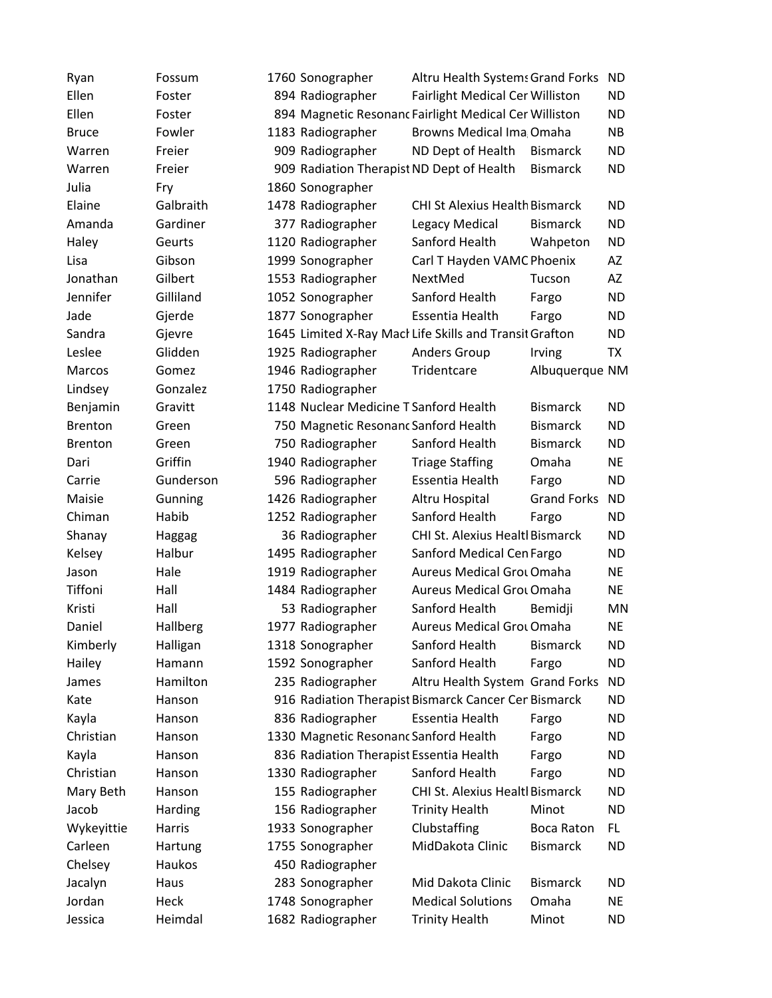| Ryan           | Fossum    | 1760 Sonographer                          | Altru Health Systems Grand Forks                        |                    | <b>ND</b> |
|----------------|-----------|-------------------------------------------|---------------------------------------------------------|--------------------|-----------|
| Ellen          | Foster    | 894 Radiographer                          | Fairlight Medical Cer Williston                         |                    | <b>ND</b> |
| Ellen          | Foster    |                                           | 894 Magnetic Resonanc Fairlight Medical Cer Williston   |                    | <b>ND</b> |
| <b>Bruce</b>   | Fowler    | 1183 Radiographer                         | <b>Browns Medical Ima Omaha</b>                         |                    | <b>NB</b> |
| Warren         | Freier    | 909 Radiographer                          | ND Dept of Health                                       | <b>Bismarck</b>    | <b>ND</b> |
| Warren         | Freier    | 909 Radiation Therapist ND Dept of Health |                                                         | <b>Bismarck</b>    | <b>ND</b> |
| Julia          | Fry       | 1860 Sonographer                          |                                                         |                    |           |
| Elaine         | Galbraith | 1478 Radiographer                         | <b>CHI St Alexius Health Bismarck</b>                   |                    | <b>ND</b> |
| Amanda         | Gardiner  | 377 Radiographer                          | Legacy Medical                                          | <b>Bismarck</b>    | <b>ND</b> |
| Haley          | Geurts    | 1120 Radiographer                         | Sanford Health                                          | Wahpeton           | <b>ND</b> |
| Lisa           | Gibson    | 1999 Sonographer                          | Carl T Hayden VAMC Phoenix                              |                    | AZ        |
| Jonathan       | Gilbert   | 1553 Radiographer                         | NextMed                                                 | Tucson             | AZ        |
| Jennifer       | Gilliland | 1052 Sonographer                          | Sanford Health                                          | Fargo              | <b>ND</b> |
| Jade           | Gjerde    | 1877 Sonographer                          | Essentia Health                                         | Fargo              | <b>ND</b> |
| Sandra         | Gjevre    |                                           | 1645 Limited X-Ray Macl Life Skills and Transit Grafton |                    | <b>ND</b> |
| Leslee         | Glidden   | 1925 Radiographer                         | <b>Anders Group</b>                                     | Irving             | TX        |
| Marcos         | Gomez     | 1946 Radiographer                         | Tridentcare                                             | Albuquerque NM     |           |
| Lindsey        | Gonzalez  | 1750 Radiographer                         |                                                         |                    |           |
| Benjamin       | Gravitt   | 1148 Nuclear Medicine T Sanford Health    |                                                         | <b>Bismarck</b>    | <b>ND</b> |
| <b>Brenton</b> | Green     | 750 Magnetic Resonanc Sanford Health      |                                                         | <b>Bismarck</b>    | <b>ND</b> |
| <b>Brenton</b> | Green     | 750 Radiographer                          | Sanford Health                                          | <b>Bismarck</b>    | <b>ND</b> |
| Dari           | Griffin   | 1940 Radiographer                         | <b>Triage Staffing</b>                                  | Omaha              | <b>NE</b> |
| Carrie         | Gunderson | 596 Radiographer                          | Essentia Health                                         | Fargo              | <b>ND</b> |
| Maisie         | Gunning   | 1426 Radiographer                         | Altru Hospital                                          | <b>Grand Forks</b> | <b>ND</b> |
| Chiman         | Habib     | 1252 Radiographer                         | Sanford Health                                          | Fargo              | <b>ND</b> |
| Shanay         | Haggag    | 36 Radiographer                           | CHI St. Alexius Healtl Bismarck                         |                    | <b>ND</b> |
| Kelsey         | Halbur    | 1495 Radiographer                         | Sanford Medical Cen Fargo                               |                    | <b>ND</b> |
| Jason          | Hale      | 1919 Radiographer                         | <b>Aureus Medical Grou Omaha</b>                        |                    | <b>NE</b> |
| Tiffoni        | Hall      | 1484 Radiographer                         | Aureus Medical Grot Omaha                               |                    | <b>NE</b> |
| Kristi         | Hall      | 53 Radiographer                           | Sanford Health                                          | Bemidji            | MN        |
| Daniel         | Hallberg  | 1977 Radiographer                         | <b>Aureus Medical Grot Omaha</b>                        |                    | <b>NE</b> |
| Kimberly       | Halligan  | 1318 Sonographer                          | Sanford Health                                          | <b>Bismarck</b>    | ND        |
| Hailey         | Hamann    | 1592 Sonographer                          | Sanford Health                                          | Fargo              | <b>ND</b> |
| James          | Hamilton  | 235 Radiographer                          | Altru Health System Grand Forks                         |                    | ND        |
| Kate           | Hanson    |                                           | 916 Radiation Therapist Bismarck Cancer Cer Bismarck    |                    | <b>ND</b> |
| Kayla          | Hanson    | 836 Radiographer                          | Essentia Health                                         | Fargo              | ND        |
| Christian      | Hanson    | 1330 Magnetic Resonanc Sanford Health     |                                                         | Fargo              | ND        |
| Kayla          | Hanson    | 836 Radiation Therapist Essentia Health   |                                                         | Fargo              | ND        |
| Christian      | Hanson    | 1330 Radiographer                         | Sanford Health                                          | Fargo              | ND        |
| Mary Beth      | Hanson    | 155 Radiographer                          | <b>CHI St. Alexius Healtl Bismarck</b>                  |                    | <b>ND</b> |
| Jacob          | Harding   | 156 Radiographer                          | <b>Trinity Health</b>                                   | Minot              | <b>ND</b> |
| Wykeyittie     | Harris    | 1933 Sonographer                          | Clubstaffing                                            | <b>Boca Raton</b>  | FL.       |
| Carleen        | Hartung   | 1755 Sonographer                          | MidDakota Clinic                                        | <b>Bismarck</b>    | ND        |
| Chelsey        | Haukos    | 450 Radiographer                          |                                                         |                    |           |
| Jacalyn        | Haus      | 283 Sonographer                           | Mid Dakota Clinic                                       | <b>Bismarck</b>    | <b>ND</b> |
| Jordan         | Heck      | 1748 Sonographer                          | <b>Medical Solutions</b>                                | Omaha              | NE        |
| Jessica        | Heimdal   | 1682 Radiographer                         | <b>Trinity Health</b>                                   | Minot              | <b>ND</b> |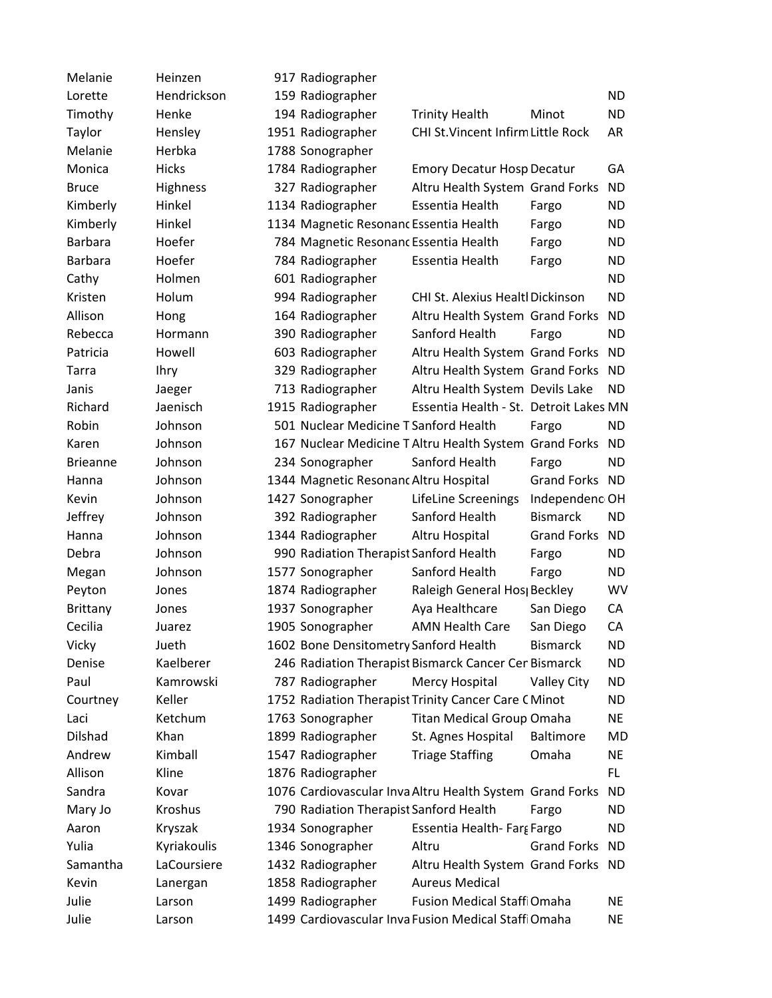| Melanie         | Heinzen      | 917 Radiographer                       |                                                          |                    |           |
|-----------------|--------------|----------------------------------------|----------------------------------------------------------|--------------------|-----------|
| Lorette         | Hendrickson  | 159 Radiographer                       |                                                          |                    | <b>ND</b> |
| Timothy         | Henke        | 194 Radiographer                       | <b>Trinity Health</b>                                    | Minot              | <b>ND</b> |
| Taylor          | Hensley      | 1951 Radiographer                      | CHI St. Vincent Infirm Little Rock                       |                    | AR        |
| Melanie         | Herbka       | 1788 Sonographer                       |                                                          |                    |           |
| Monica          | <b>Hicks</b> | 1784 Radiographer                      | <b>Emory Decatur Hosp Decatur</b>                        |                    | GA        |
| <b>Bruce</b>    | Highness     | 327 Radiographer                       | Altru Health System Grand Forks                          |                    | <b>ND</b> |
| Kimberly        | Hinkel       | 1134 Radiographer                      | Essentia Health                                          | Fargo              | <b>ND</b> |
| Kimberly        | Hinkel       | 1134 Magnetic Resonanc Essentia Health |                                                          | Fargo              | <b>ND</b> |
| <b>Barbara</b>  | Hoefer       | 784 Magnetic Resonanc Essentia Health  |                                                          | Fargo              | <b>ND</b> |
| <b>Barbara</b>  | Hoefer       | 784 Radiographer                       | Essentia Health                                          | Fargo              | <b>ND</b> |
| Cathy           | Holmen       | 601 Radiographer                       |                                                          |                    | <b>ND</b> |
| Kristen         | Holum        | 994 Radiographer                       | CHI St. Alexius Healtl Dickinson                         |                    | <b>ND</b> |
| Allison         | Hong         | 164 Radiographer                       | Altru Health System Grand Forks                          |                    | <b>ND</b> |
| Rebecca         | Hormann      | 390 Radiographer                       | Sanford Health                                           | Fargo              | <b>ND</b> |
| Patricia        | Howell       | 603 Radiographer                       | Altru Health System Grand Forks                          |                    | <b>ND</b> |
| Tarra           | <b>Ihry</b>  | 329 Radiographer                       | Altru Health System Grand Forks                          |                    | <b>ND</b> |
| Janis           | Jaeger       | 713 Radiographer                       | Altru Health System Devils Lake                          |                    | <b>ND</b> |
| Richard         | Jaenisch     | 1915 Radiographer                      | Essentia Health - St. Detroit Lakes MN                   |                    |           |
| Robin           | Johnson      | 501 Nuclear Medicine T Sanford Health  |                                                          | Fargo              | <b>ND</b> |
| Karen           | Johnson      |                                        | 167 Nuclear Medicine T Altru Health System Grand Forks   |                    | <b>ND</b> |
| <b>Brieanne</b> | Johnson      | 234 Sonographer                        | Sanford Health                                           | Fargo              | <b>ND</b> |
| Hanna           | Johnson      | 1344 Magnetic Resonanc Altru Hospital  |                                                          | Grand Forks ND     |           |
| Kevin           | Johnson      | 1427 Sonographer                       | LifeLine Screenings                                      | Independenc OH     |           |
| Jeffrey         | Johnson      | 392 Radiographer                       | Sanford Health                                           | <b>Bismarck</b>    | <b>ND</b> |
| Hanna           | Johnson      | 1344 Radiographer                      | Altru Hospital                                           | <b>Grand Forks</b> | <b>ND</b> |
| Debra           | Johnson      | 990 Radiation Therapist Sanford Health |                                                          | Fargo              | <b>ND</b> |
| Megan           | Johnson      | 1577 Sonographer                       | Sanford Health                                           | Fargo              | <b>ND</b> |
| Peyton          | Jones        | 1874 Radiographer                      | Raleigh General Hos Beckley                              |                    | <b>WV</b> |
| <b>Brittany</b> | Jones        | 1937 Sonographer                       | Aya Healthcare                                           | San Diego          | CA        |
| Cecilia         | Juarez       | 1905 Sonographer                       | <b>AMN Health Care</b>                                   | San Diego          | CA        |
| Vicky           | Jueth        | 1602 Bone Densitometry Sanford Health  |                                                          | <b>Bismarck</b>    | <b>ND</b> |
| Denise          | Kaelberer    |                                        | 246 Radiation Therapist Bismarck Cancer Cer Bismarck     |                    | <b>ND</b> |
| Paul            | Kamrowski    | 787 Radiographer                       | Mercy Hospital                                           | <b>Valley City</b> | <b>ND</b> |
| Courtney        | Keller       |                                        | 1752 Radiation Therapist Trinity Cancer Care C Minot     |                    | <b>ND</b> |
| Laci            | Ketchum      | 1763 Sonographer                       | <b>Titan Medical Group Omaha</b>                         |                    | <b>NE</b> |
| Dilshad         | Khan         | 1899 Radiographer                      | St. Agnes Hospital                                       | <b>Baltimore</b>   | <b>MD</b> |
| Andrew          | Kimball      | 1547 Radiographer                      | <b>Triage Staffing</b>                                   | Omaha              | <b>NE</b> |
| Allison         | Kline        | 1876 Radiographer                      |                                                          |                    | FL.       |
| Sandra          | Kovar        |                                        | 1076 Cardiovascular Inva Altru Health System Grand Forks |                    | <b>ND</b> |
| Mary Jo         | Kroshus      | 790 Radiation Therapist Sanford Health |                                                          | Fargo              | <b>ND</b> |
| Aaron           | Kryszak      | 1934 Sonographer                       | Essentia Health-Farg Fargo                               |                    | <b>ND</b> |
| Yulia           | Kyriakoulis  | 1346 Sonographer                       | Altru                                                    | <b>Grand Forks</b> | ND        |
| Samantha        | LaCoursiere  | 1432 Radiographer                      | Altru Health System Grand Forks ND                       |                    |           |
| Kevin           | Lanergan     | 1858 Radiographer                      | <b>Aureus Medical</b>                                    |                    |           |
| Julie           | Larson       | 1499 Radiographer                      | Fusion Medical Staff Omaha                               |                    | <b>NE</b> |
| Julie           | Larson       |                                        | 1499 Cardiovascular Inva Fusion Medical Staff Omaha      |                    | <b>NE</b> |
|                 |              |                                        |                                                          |                    |           |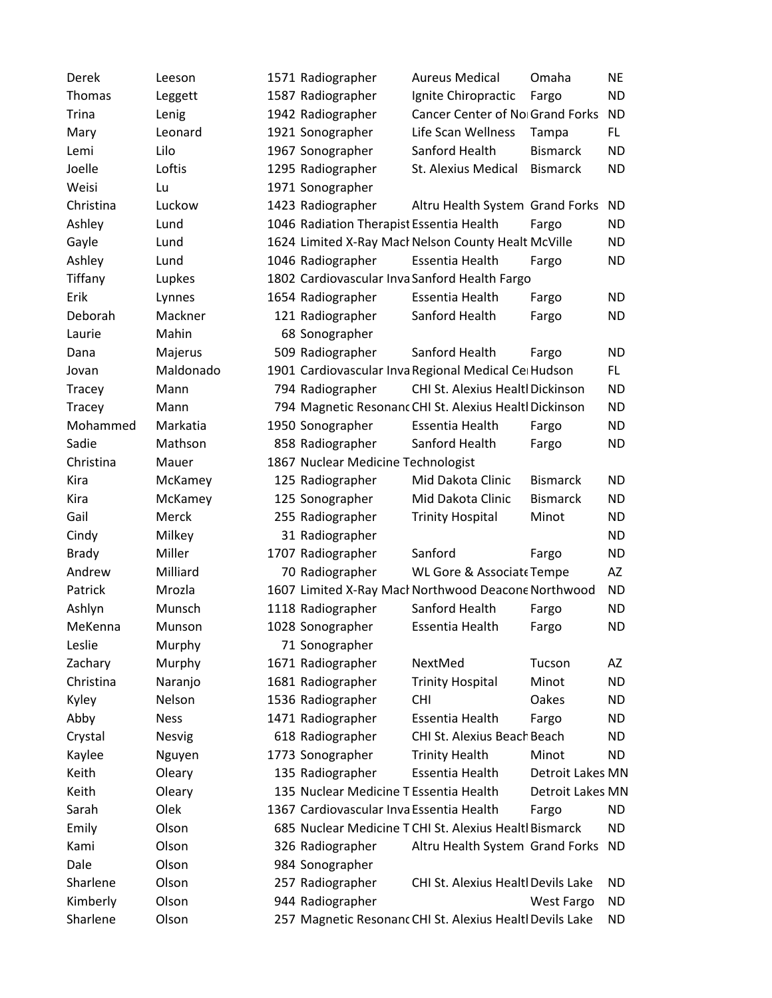| Derek        | Leeson        | 1571 Radiographer                        | <b>Aureus Medical</b>                                    | Omaha             | NE        |
|--------------|---------------|------------------------------------------|----------------------------------------------------------|-------------------|-----------|
| Thomas       | Leggett       | 1587 Radiographer                        | Ignite Chiropractic                                      | Fargo             | <b>ND</b> |
| <b>Trina</b> | Lenig         | 1942 Radiographer                        | Cancer Center of No Grand Forks                          |                   | <b>ND</b> |
| Mary         | Leonard       | 1921 Sonographer                         | Life Scan Wellness                                       | Tampa             | FL.       |
| Lemi         | Lilo          | 1967 Sonographer                         | Sanford Health                                           | <b>Bismarck</b>   | <b>ND</b> |
| Joelle       | Loftis        | 1295 Radiographer                        | <b>St. Alexius Medical</b>                               | <b>Bismarck</b>   | <b>ND</b> |
| Weisi        | Lu            | 1971 Sonographer                         |                                                          |                   |           |
| Christina    | Luckow        | 1423 Radiographer                        | Altru Health System Grand Forks                          |                   | ND        |
| Ashley       | Lund          | 1046 Radiation Therapist Essentia Health |                                                          | Fargo             | <b>ND</b> |
| Gayle        | Lund          |                                          | 1624 Limited X-Ray Macł Nelson County Healt McVille      |                   | <b>ND</b> |
| Ashley       | Lund          | 1046 Radiographer                        | Essentia Health                                          | Fargo             | <b>ND</b> |
| Tiffany      | Lupkes        |                                          | 1802 Cardiovascular Inva Sanford Health Fargo            |                   |           |
| Erik         | Lynnes        | 1654 Radiographer                        | Essentia Health                                          | Fargo             | <b>ND</b> |
| Deborah      | Mackner       | 121 Radiographer                         | Sanford Health                                           | Fargo             | ND        |
| Laurie       | Mahin         | 68 Sonographer                           |                                                          |                   |           |
| Dana         | Majerus       | 509 Radiographer                         | Sanford Health                                           | Fargo             | <b>ND</b> |
| Jovan        | Maldonado     |                                          | 1901 Cardiovascular Inva Regional Medical Ce Hudson      |                   | FL.       |
| Tracey       | Mann          | 794 Radiographer                         | CHI St. Alexius Healtl Dickinson                         |                   | <b>ND</b> |
| Tracey       | Mann          |                                          | 794 Magnetic Resonanc CHI St. Alexius Healtl Dickinson   |                   | <b>ND</b> |
| Mohammed     | Markatia      | 1950 Sonographer                         | Essentia Health                                          | Fargo             | <b>ND</b> |
| Sadie        | Mathson       | 858 Radiographer                         | Sanford Health                                           | Fargo             | <b>ND</b> |
| Christina    | Mauer         | 1867 Nuclear Medicine Technologist       |                                                          |                   |           |
| Kira         | McKamey       | 125 Radiographer                         | Mid Dakota Clinic                                        | <b>Bismarck</b>   | <b>ND</b> |
| Kira         | McKamey       | 125 Sonographer                          | Mid Dakota Clinic                                        | <b>Bismarck</b>   | <b>ND</b> |
| Gail         | Merck         | 255 Radiographer                         | <b>Trinity Hospital</b>                                  | Minot             | <b>ND</b> |
| Cindy        | Milkey        | 31 Radiographer                          |                                                          |                   | ND        |
| <b>Brady</b> | Miller        | 1707 Radiographer                        | Sanford                                                  | Fargo             | <b>ND</b> |
| Andrew       | Milliard      | 70 Radiographer                          | <b>WL Gore &amp; Associate Tempe</b>                     |                   | AZ        |
| Patrick      | Mrozla        |                                          | 1607 Limited X-Ray Macł Northwood Deacone Northwood      |                   | <b>ND</b> |
| Ashlyn       | Munsch        | 1118 Radiographer                        | Sanford Health                                           | Fargo             | <b>ND</b> |
| MeKenna      | Munson        | 1028 Sonographer                         | Essentia Health                                          | Fargo             | <b>ND</b> |
| Leslie       | Murphy        | 71 Sonographer                           |                                                          |                   |           |
| Zachary      | Murphy        | 1671 Radiographer                        | NextMed                                                  | Tucson            | AΖ        |
| Christina    | Naranjo       | 1681 Radiographer                        | <b>Trinity Hospital</b>                                  | Minot             | <b>ND</b> |
| Kyley        | Nelson        | 1536 Radiographer                        | <b>CHI</b>                                               | Oakes             | <b>ND</b> |
| Abby         | <b>Ness</b>   | 1471 Radiographer                        | <b>Essentia Health</b>                                   | Fargo             | ND        |
| Crystal      | <b>Nesvig</b> | 618 Radiographer                         | CHI St. Alexius Beach Beach                              |                   | <b>ND</b> |
| Kaylee       | Nguyen        | 1773 Sonographer                         | <b>Trinity Health</b>                                    | Minot             | ND        |
| Keith        | Oleary        | 135 Radiographer                         | Essentia Health                                          | Detroit Lakes MN  |           |
| Keith        | Oleary        | 135 Nuclear Medicine T Essentia Health   |                                                          | Detroit Lakes MN  |           |
| Sarah        | Olek          | 1367 Cardiovascular Inva Essentia Health |                                                          | Fargo             | <b>ND</b> |
| Emily        | Olson         |                                          | 685 Nuclear Medicine T CHI St. Alexius Healtl Bismarck   |                   | <b>ND</b> |
| Kami         | Olson         | 326 Radiographer                         | Altru Health System Grand Forks                          |                   | <b>ND</b> |
| Dale         | Olson         | 984 Sonographer                          |                                                          |                   |           |
| Sharlene     | Olson         | 257 Radiographer                         | CHI St. Alexius Healtl Devils Lake                       |                   | ND        |
| Kimberly     | Olson         | 944 Radiographer                         |                                                          | <b>West Fargo</b> | <b>ND</b> |
| Sharlene     | Olson         |                                          | 257 Magnetic Resonanc CHI St. Alexius Healtl Devils Lake |                   | ND        |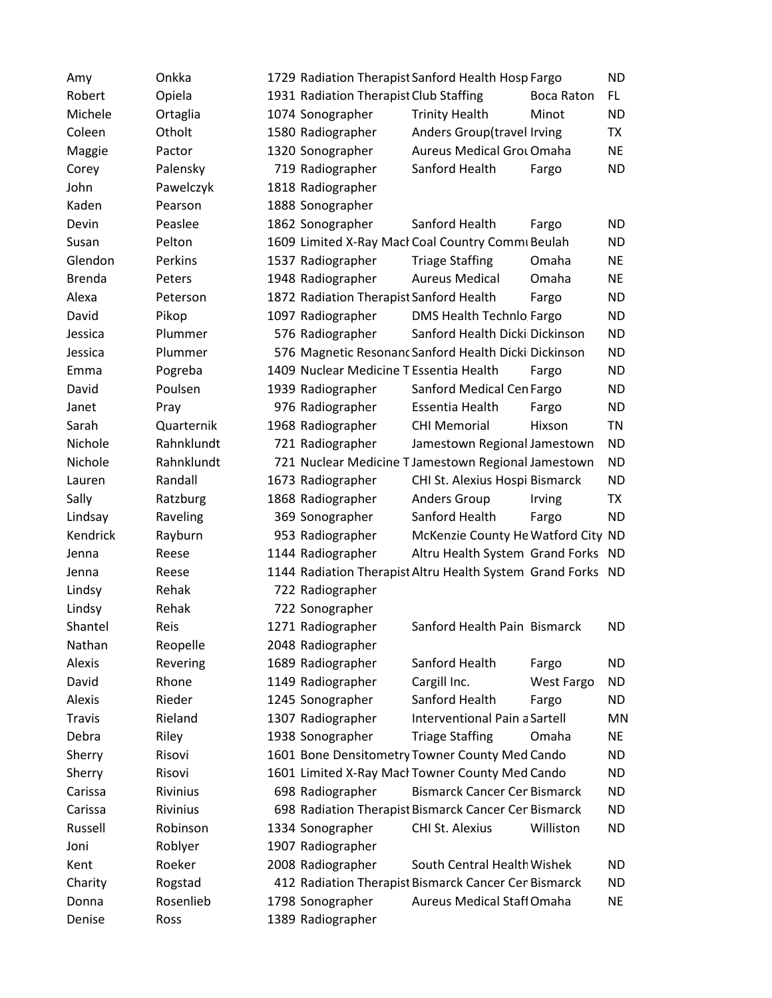| Amy           | Onkka      |                                         | 1729 Radiation Therapist Sanford Health Hosp Fargo          |                   | <b>ND</b> |
|---------------|------------|-----------------------------------------|-------------------------------------------------------------|-------------------|-----------|
| Robert        | Opiela     | 1931 Radiation Therapist Club Staffing  |                                                             | Boca Raton        | <b>FL</b> |
| Michele       | Ortaglia   | 1074 Sonographer                        | <b>Trinity Health</b>                                       | Minot             | <b>ND</b> |
| Coleen        | Otholt     | 1580 Radiographer                       | Anders Group(travel Irving                                  |                   | <b>TX</b> |
| Maggie        | Pactor     | 1320 Sonographer                        | <b>Aureus Medical Grot Omaha</b>                            |                   | <b>NE</b> |
| Corey         | Palensky   | 719 Radiographer                        | Sanford Health                                              | Fargo             | <b>ND</b> |
| John          | Pawelczyk  | 1818 Radiographer                       |                                                             |                   |           |
| Kaden         | Pearson    | 1888 Sonographer                        |                                                             |                   |           |
| Devin         | Peaslee    | 1862 Sonographer                        | Sanford Health                                              | Fargo             | <b>ND</b> |
| Susan         | Pelton     |                                         | 1609 Limited X-Ray Macł Coal Country Commi Beulah           |                   | <b>ND</b> |
| Glendon       | Perkins    | 1537 Radiographer                       | <b>Triage Staffing</b>                                      | Omaha             | <b>NE</b> |
| <b>Brenda</b> | Peters     | 1948 Radiographer                       | <b>Aureus Medical</b>                                       | Omaha             | <b>NE</b> |
| Alexa         | Peterson   | 1872 Radiation Therapist Sanford Health |                                                             | Fargo             | <b>ND</b> |
| David         | Pikop      | 1097 Radiographer                       | DMS Health Technlo Fargo                                    |                   | <b>ND</b> |
| Jessica       | Plummer    | 576 Radiographer                        | Sanford Health Dicki Dickinson                              |                   | <b>ND</b> |
| Jessica       | Plummer    |                                         | 576 Magnetic Resonanc Sanford Health Dicki Dickinson        |                   | <b>ND</b> |
| Emma          | Pogreba    | 1409 Nuclear Medicine T Essentia Health |                                                             | Fargo             | <b>ND</b> |
| David         | Poulsen    | 1939 Radiographer                       | Sanford Medical Cen Fargo                                   |                   | <b>ND</b> |
| Janet         | Pray       | 976 Radiographer                        | Essentia Health                                             | Fargo             | <b>ND</b> |
| Sarah         | Quarternik | 1968 Radiographer                       | <b>CHI Memorial</b>                                         | Hixson            | <b>TN</b> |
| Nichole       | Rahnklundt | 721 Radiographer                        | Jamestown Regional Jamestown                                |                   | <b>ND</b> |
| Nichole       | Rahnklundt |                                         | 721 Nuclear Medicine T Jamestown Regional Jamestown         |                   | <b>ND</b> |
| Lauren        | Randall    | 1673 Radiographer                       | CHI St. Alexius Hospi Bismarck                              |                   | <b>ND</b> |
| Sally         | Ratzburg   | 1868 Radiographer                       | <b>Anders Group</b>                                         | Irving            | <b>TX</b> |
| Lindsay       | Raveling   | 369 Sonographer                         | Sanford Health                                              | Fargo             | <b>ND</b> |
| Kendrick      | Rayburn    | 953 Radiographer                        | McKenzie County He Watford City ND                          |                   |           |
| Jenna         | Reese      | 1144 Radiographer                       | Altru Health System Grand Forks ND                          |                   |           |
| Jenna         | Reese      |                                         | 1144 Radiation Therapist Altru Health System Grand Forks ND |                   |           |
| Lindsy        | Rehak      | 722 Radiographer                        |                                                             |                   |           |
| Lindsy        | Rehak      | 722 Sonographer                         |                                                             |                   |           |
| Shantel       | Reis       | 1271 Radiographer                       | Sanford Health Pain Bismarck                                |                   | <b>ND</b> |
| Nathan        | Reopelle   | 2048 Radiographer                       |                                                             |                   |           |
| Alexis        | Revering   | 1689 Radiographer                       | Sanford Health                                              | Fargo             | <b>ND</b> |
| David         | Rhone      | 1149 Radiographer                       | Cargill Inc.                                                | <b>West Fargo</b> | <b>ND</b> |
| Alexis        | Rieder     | 1245 Sonographer                        | Sanford Health                                              | Fargo             | <b>ND</b> |
| <b>Travis</b> | Rieland    | 1307 Radiographer                       | Interventional Pain a Sartell                               |                   | <b>MN</b> |
| Debra         | Riley      | 1938 Sonographer                        | <b>Triage Staffing</b>                                      | Omaha             | <b>NE</b> |
| Sherry        | Risovi     |                                         | 1601 Bone Densitometry Towner County Med Cando              |                   | <b>ND</b> |
| Sherry        | Risovi     |                                         | 1601 Limited X-Ray Macł Towner County Med Cando             |                   | <b>ND</b> |
| Carissa       | Rivinius   | 698 Radiographer                        | <b>Bismarck Cancer Cer Bismarck</b>                         |                   | <b>ND</b> |
| Carissa       | Rivinius   |                                         | 698 Radiation Therapist Bismarck Cancer Cer Bismarck        |                   | <b>ND</b> |
| Russell       | Robinson   | 1334 Sonographer                        | CHI St. Alexius                                             | Williston         | <b>ND</b> |
| Joni          | Roblyer    | 1907 Radiographer                       |                                                             |                   |           |
| Kent          | Roeker     | 2008 Radiographer                       | South Central Health Wishek                                 |                   | <b>ND</b> |
| Charity       | Rogstad    |                                         | 412 Radiation Therapist Bismarck Cancer Cer Bismarck        |                   | <b>ND</b> |
| Donna         | Rosenlieb  | 1798 Sonographer                        | <b>Aureus Medical Staff Omaha</b>                           |                   | <b>NE</b> |
| Denise        | Ross       | 1389 Radiographer                       |                                                             |                   |           |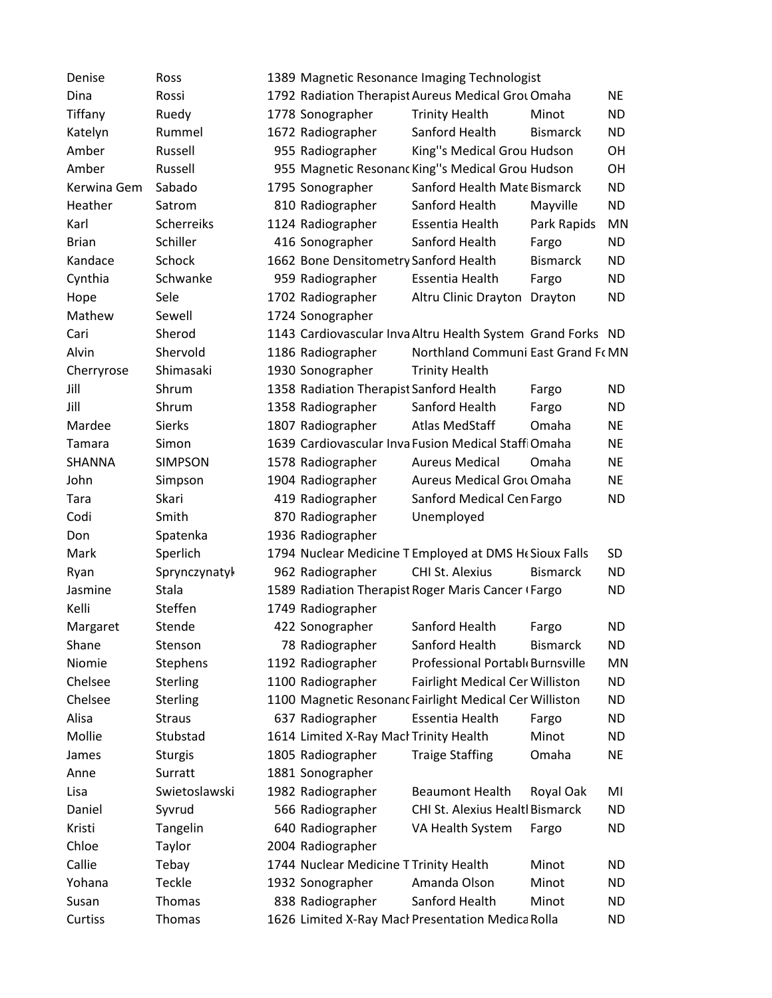| Denise       | Ross           | 1389 Magnetic Resonance Imaging Technologist                |           |
|--------------|----------------|-------------------------------------------------------------|-----------|
| Dina         | Rossi          | 1792 Radiation Therapist Aureus Medical Grot Omaha          | <b>NE</b> |
| Tiffany      | Ruedy          | <b>Trinity Health</b><br>1778 Sonographer<br>Minot          | <b>ND</b> |
| Katelyn      | Rummel         | 1672 Radiographer<br>Sanford Health<br><b>Bismarck</b>      | <b>ND</b> |
| Amber        | Russell        | 955 Radiographer<br>King"s Medical Grou Hudson              | OH        |
| Amber        | Russell        | 955 Magnetic Resonanc King"s Medical Grou Hudson            | OH        |
| Kerwina Gem  | Sabado         | 1795 Sonographer<br>Sanford Health Mate Bismarck            | <b>ND</b> |
| Heather      | Satrom         | 810 Radiographer<br>Sanford Health<br>Mayville              | <b>ND</b> |
| Karl         | Scherreiks     | 1124 Radiographer<br>Essentia Health<br>Park Rapids         | MN        |
| <b>Brian</b> | Schiller       | 416 Sonographer<br>Sanford Health<br>Fargo                  | <b>ND</b> |
| Kandace      | Schock         | 1662 Bone Densitometry Sanford Health<br><b>Bismarck</b>    | <b>ND</b> |
| Cynthia      | Schwanke       | Essentia Health<br>959 Radiographer<br>Fargo                | <b>ND</b> |
| Hope         | Sele           | 1702 Radiographer<br>Altru Clinic Drayton<br>Drayton        | <b>ND</b> |
| Mathew       | Sewell         | 1724 Sonographer                                            |           |
| Cari         | Sherod         | 1143 Cardiovascular Inva Altru Health System Grand Forks ND |           |
| Alvin        | Shervold       | 1186 Radiographer<br>Northland Communi East Grand Fr MN     |           |
| Cherryrose   | Shimasaki      | 1930 Sonographer<br><b>Trinity Health</b>                   |           |
| Jill         | Shrum          | 1358 Radiation Therapist Sanford Health<br>Fargo            | <b>ND</b> |
| Jill         | Shrum          | 1358 Radiographer<br>Sanford Health<br>Fargo                | <b>ND</b> |
| Mardee       | <b>Sierks</b>  | 1807 Radiographer<br><b>Atlas MedStaff</b><br>Omaha         | <b>NE</b> |
| Tamara       | Simon          | 1639 Cardiovascular Inva Fusion Medical Staffi Omaha        | <b>NE</b> |
| SHANNA       | <b>SIMPSON</b> | 1578 Radiographer<br><b>Aureus Medical</b><br>Omaha         | <b>NE</b> |
| John         | Simpson        | 1904 Radiographer<br><b>Aureus Medical Grot Omaha</b>       | <b>NE</b> |
| Tara         | Skari          | 419 Radiographer<br>Sanford Medical Cen Fargo               | <b>ND</b> |
| Codi         | Smith          | 870 Radiographer<br>Unemployed                              |           |
| Don          | Spatenka       | 1936 Radiographer                                           |           |
| Mark         | Sperlich       | 1794 Nuclear Medicine T Employed at DMS He Sioux Falls      | SD        |
| Ryan         | Sprynczynatyk  | CHI St. Alexius<br>962 Radiographer<br><b>Bismarck</b>      | <b>ND</b> |
| Jasmine      | Stala          | 1589 Radiation Therapist Roger Maris Cancer (Fargo          | <b>ND</b> |
| Kelli        | Steffen        | 1749 Radiographer                                           |           |
| Margaret     | Stende         | 422 Sonographer<br>Sanford Health<br>Fargo                  | <b>ND</b> |
| Shane        | Stenson        | Sanford Health<br><b>Bismarck</b><br>78 Radiographer        | <b>ND</b> |
| Niomie       | Stephens       | Professional Portabl Burnsville<br>1192 Radiographer        | MN        |
| Chelsee      | Sterling       | 1100 Radiographer<br>Fairlight Medical Cer Williston        | <b>ND</b> |
| Chelsee      | Sterling       | 1100 Magnetic Resonanc Fairlight Medical Cer Williston      | <b>ND</b> |
| Alisa        | <b>Straus</b>  | Essentia Health<br>637 Radiographer<br>Fargo                | <b>ND</b> |
| Mollie       | Stubstad       | 1614 Limited X-Ray Macł Trinity Health<br>Minot             | <b>ND</b> |
| James        | <b>Sturgis</b> | Omaha<br>1805 Radiographer<br><b>Traige Staffing</b>        | <b>NE</b> |
| Anne         | Surratt        | 1881 Sonographer                                            |           |
| Lisa         | Swietoslawski  | 1982 Radiographer<br><b>Beaumont Health</b><br>Royal Oak    | MI        |
| Daniel       | Syvrud         | 566 Radiographer<br><b>CHI St. Alexius Healtl Bismarck</b>  | <b>ND</b> |
| Kristi       | Tangelin       | 640 Radiographer<br>VA Health System<br>Fargo               | <b>ND</b> |
| Chloe        | Taylor         | 2004 Radiographer                                           |           |
| Callie       | Tebay          | 1744 Nuclear Medicine T Trinity Health<br>Minot             | <b>ND</b> |
| Yohana       | Teckle         | Amanda Olson<br>1932 Sonographer<br>Minot                   | <b>ND</b> |
| Susan        | Thomas         | 838 Radiographer<br>Sanford Health<br>Minot                 | <b>ND</b> |
| Curtiss      | Thomas         | 1626 Limited X-Ray Macl Presentation Medica Rolla           | <b>ND</b> |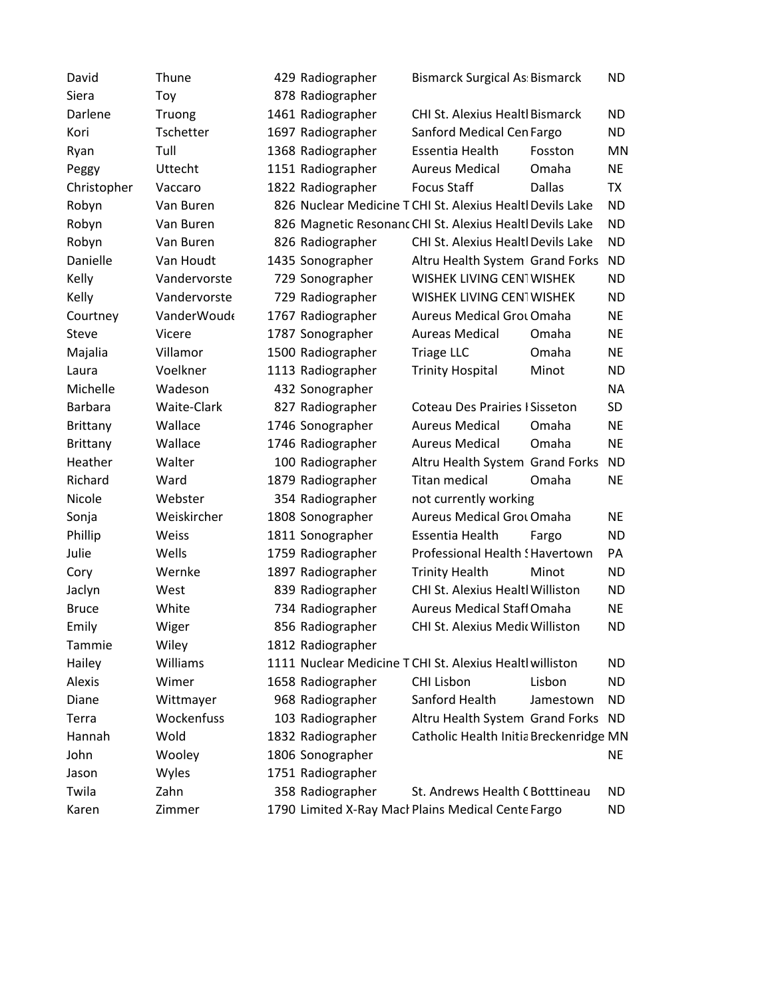| David          | Thune        | 429 Radiographer  | <b>Bismarck Surgical As Bismarck</b>                      |               | <b>ND</b> |
|----------------|--------------|-------------------|-----------------------------------------------------------|---------------|-----------|
| Siera          | Toy          | 878 Radiographer  |                                                           |               |           |
| Darlene        | Truong       | 1461 Radiographer | <b>CHI St. Alexius Healtl Bismarck</b>                    |               | <b>ND</b> |
| Kori           | Tschetter    | 1697 Radiographer | Sanford Medical Cen Fargo                                 |               | <b>ND</b> |
| Ryan           | Tull         | 1368 Radiographer | Essentia Health                                           | Fosston       | MN        |
| Peggy          | Uttecht      | 1151 Radiographer | <b>Aureus Medical</b>                                     | Omaha         | <b>NE</b> |
| Christopher    | Vaccaro      | 1822 Radiographer | <b>Focus Staff</b>                                        | <b>Dallas</b> | <b>TX</b> |
| Robyn          | Van Buren    |                   | 826 Nuclear Medicine T CHI St. Alexius Healtl Devils Lake |               | <b>ND</b> |
| Robyn          | Van Buren    |                   | 826 Magnetic Resonant CHI St. Alexius Healtl Devils Lake  |               | <b>ND</b> |
| Robyn          | Van Buren    | 826 Radiographer  | CHI St. Alexius Healtl Devils Lake                        |               | <b>ND</b> |
| Danielle       | Van Houdt    | 1435 Sonographer  | Altru Health System Grand Forks                           |               | <b>ND</b> |
| Kelly          | Vandervorste | 729 Sonographer   | WISHEK LIVING CENTWISHEK                                  |               | <b>ND</b> |
| Kelly          | Vandervorste | 729 Radiographer  | WISHEK LIVING CENTWISHEK                                  |               | <b>ND</b> |
| Courtney       | VanderWoude  | 1767 Radiographer | <b>Aureus Medical Grot Omaha</b>                          |               | <b>NE</b> |
| Steve          | Vicere       | 1787 Sonographer  | <b>Aureas Medical</b>                                     | Omaha         | <b>NE</b> |
| Majalia        | Villamor     | 1500 Radiographer | <b>Triage LLC</b>                                         | Omaha         | <b>NE</b> |
| Laura          | Voelkner     | 1113 Radiographer | <b>Trinity Hospital</b>                                   | Minot         | <b>ND</b> |
| Michelle       | Wadeson      | 432 Sonographer   |                                                           |               | <b>NA</b> |
| <b>Barbara</b> | Waite-Clark  | 827 Radiographer  | <b>Coteau Des Prairies ISisseton</b>                      |               | <b>SD</b> |
| Brittany       | Wallace      | 1746 Sonographer  | <b>Aureus Medical</b>                                     | Omaha         | <b>NE</b> |
| Brittany       | Wallace      | 1746 Radiographer | <b>Aureus Medical</b>                                     | Omaha         | <b>NE</b> |
| Heather        | Walter       | 100 Radiographer  | Altru Health System Grand Forks                           |               | <b>ND</b> |
| Richard        | Ward         | 1879 Radiographer | <b>Titan medical</b>                                      | Omaha         | <b>NE</b> |
| Nicole         | Webster      | 354 Radiographer  | not currently working                                     |               |           |
| Sonja          | Weiskircher  | 1808 Sonographer  | <b>Aureus Medical Grot Omaha</b>                          |               | <b>NE</b> |
| Phillip        | Weiss        | 1811 Sonographer  | Essentia Health                                           | Fargo         | <b>ND</b> |
| Julie          | Wells        | 1759 Radiographer | Professional Health ! Havertown                           |               | PA        |
| Cory           | Wernke       | 1897 Radiographer | <b>Trinity Health</b>                                     | Minot         | <b>ND</b> |
| Jaclyn         | West         | 839 Radiographer  | CHI St. Alexius Healtl Williston                          |               | <b>ND</b> |
| <b>Bruce</b>   | White        | 734 Radiographer  | <b>Aureus Medical Staff Omaha</b>                         |               | <b>NE</b> |
| Emily          | Wiger        | 856 Radiographer  | CHI St. Alexius Medic Williston                           |               | <b>ND</b> |
| Tammie         | Wiley        | 1812 Radiographer |                                                           |               |           |
| Hailey         | Williams     |                   | 1111 Nuclear Medicine T CHI St. Alexius Healtl williston  |               | <b>ND</b> |
| Alexis         | Wimer        | 1658 Radiographer | <b>CHI Lisbon</b>                                         | Lisbon        | <b>ND</b> |
| Diane          | Wittmayer    | 968 Radiographer  | Sanford Health                                            | Jamestown     | <b>ND</b> |
| Terra          | Wockenfuss   | 103 Radiographer  | Altru Health System Grand Forks                           |               | ND        |
| Hannah         | Wold         | 1832 Radiographer | Catholic Health Initia Breckenridge MN                    |               |           |
| John           | Wooley       | 1806 Sonographer  |                                                           |               | <b>NE</b> |
| Jason          | Wyles        | 1751 Radiographer |                                                           |               |           |
| Twila          | Zahn         | 358 Radiographer  | St. Andrews Health C Botttineau                           |               | <b>ND</b> |
| Karen          | Zimmer       |                   | 1790 Limited X-Ray Macl Plains Medical Cente Fargo        |               | <b>ND</b> |